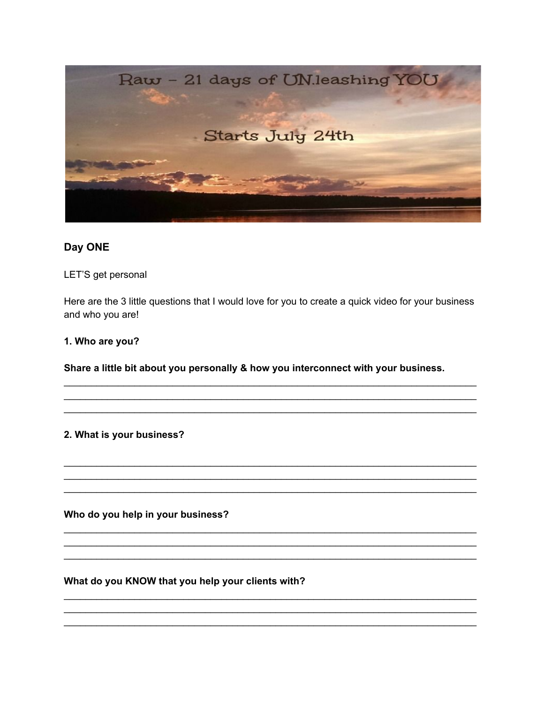

## Day ONE

LET'S get personal

Here are the 3 little questions that I would love for you to create a quick video for your business and who you are!

#### 1. Who are you?

Share a little bit about you personally & how you interconnect with your business.

#### 2. What is your business?

Who do you help in your business?

### What do you KNOW that you help your clients with?